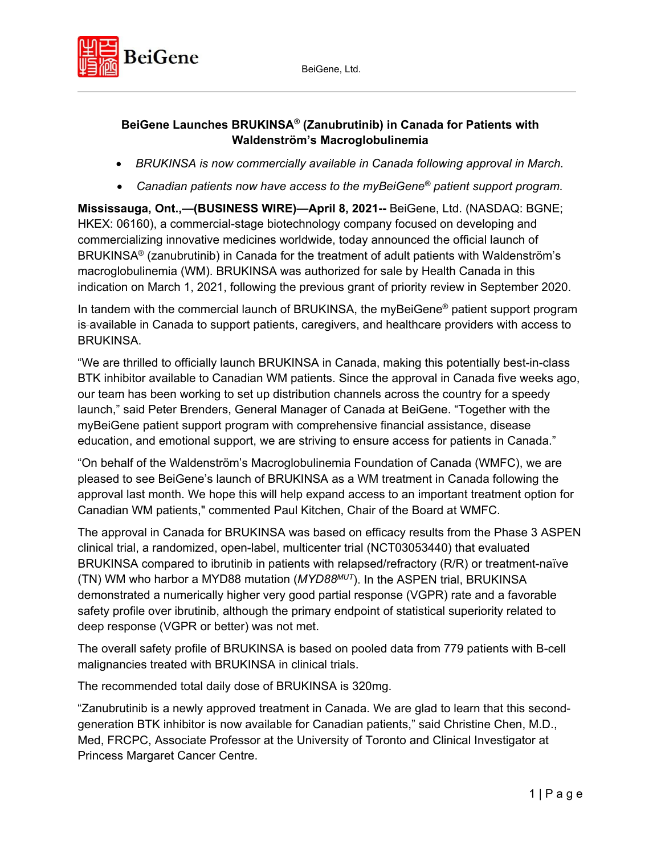

### **BeiGene Launches BRUKINSA® (Zanubrutinib) in Canada for Patients with Waldenström's Macroglobulinemia**

- *BRUKINSA is now commercially available in Canada following approval in March.*
- *Canadian patients now have access to the myBeiGene® patient support program.*

**Mississauga, Ont.,—(BUSINESS WIRE)—April 8, 2021--** BeiGene, Ltd. (NASDAQ: BGNE; HKEX: 06160), a commercial-stage biotechnology company focused on developing and commercializing innovative medicines worldwide, today announced the official launch of BRUKINSA® (zanubrutinib) in Canada for the treatment of adult patients with Waldenström's macroglobulinemia (WM). BRUKINSA was authorized for sale by Health Canada in this indication on March 1, 2021, following the previous grant of priority review in September 2020.

In tandem with the commercial launch of BRUKINSA, the myBeiGene<sup>®</sup> patient support program is available in Canada to support patients, caregivers, and healthcare providers with access to BRUKINSA.

"We are thrilled to officially launch BRUKINSA in Canada, making this potentially best-in-class BTK inhibitor available to Canadian WM patients. Since the approval in Canada five weeks ago, our team has been working to set up distribution channels across the country for a speedy launch," said Peter Brenders, General Manager of Canada at BeiGene. "Together with the myBeiGene patient support program with comprehensive financial assistance, disease education, and emotional support, we are striving to ensure access for patients in Canada."

"On behalf of the Waldenström's Macroglobulinemia Foundation of Canada (WMFC), we are pleased to see BeiGene's launch of BRUKINSA as a WM treatment in Canada following the approval last month. We hope this will help expand access to an important treatment option for Canadian WM patients," commented Paul Kitchen, Chair of the Board at WMFC.

The approval in Canada for BRUKINSA was based on efficacy results from the Phase 3 ASPEN clinical trial, a randomized, open-label, multicenter trial (NCT03053440) that evaluated BRUKINSA compared to ibrutinib in patients with relapsed/refractory (R/R) or treatment-naïve (TN) WM who harbor a MYD88 mutation (*MYD88MUT*). In the ASPEN trial, BRUKINSA demonstrated a numerically higher very good partial response (VGPR) rate and a favorable safety profile over ibrutinib, although the primary endpoint of statistical superiority related to deep response (VGPR or better) was not met.

The overall safety profile of BRUKINSA is based on pooled data from 779 patients with B-cell malignancies treated with BRUKINSA in clinical trials.

The recommended total daily dose of BRUKINSA is 320mg.

"Zanubrutinib is a newly approved treatment in Canada. We are glad to learn that this secondgeneration BTK inhibitor is now available for Canadian patients," said Christine Chen, M.D., Med, FRCPC, Associate Professor at the University of Toronto and Clinical Investigator at Princess Margaret Cancer Centre.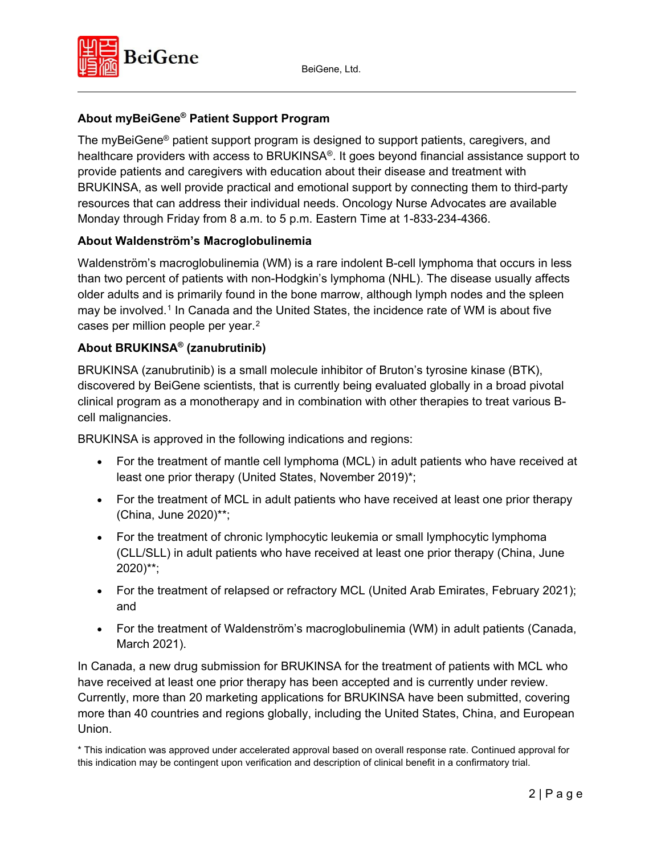

# **About myBeiGene® Patient Support Program**

The myBeiGene® patient support program is designed to support patients, caregivers, and healthcare providers with access to BRUKINSA®. It goes beyond financial assistance support to provide patients and caregivers with education about their disease and treatment with BRUKINSA, as well provide practical and emotional support by connecting them to third-party resources that can address their individual needs. Oncology Nurse Advocates are available Monday through Friday from 8 a.m. to 5 p.m. Eastern Time at 1-833-234-4366.

### **About Waldenström's Macroglobulinemia**

Waldenström's macroglobulinemia (WM) is a rare indolent B-cell lymphoma that occurs in less than two percent of patients with non-Hodgkin's lymphoma (NHL). The disease usually affects older adults and is primarily found in the bone marrow, although lymph nodes and the spleen may be involved.[1](#page-3-0) In Canada and the United States, the incidence rate of WM is about five cases per million people per year.[2](#page-3-1)

## **About BRUKINSA® (zanubrutinib)**

BRUKINSA (zanubrutinib) is a small molecule inhibitor of Bruton's tyrosine kinase (BTK), discovered by BeiGene scientists, that is currently being evaluated globally in a broad pivotal clinical program as a monotherapy and in combination with other therapies to treat various Bcell malignancies.

BRUKINSA is approved in the following indications and regions:

- For the treatment of mantle cell lymphoma (MCL) in adult patients who have received at least one prior therapy (United States, November 2019)\*;
- For the treatment of MCL in adult patients who have received at least one prior therapy (China, June 2020)\*\*;
- For the treatment of chronic lymphocytic leukemia or small lymphocytic lymphoma (CLL/SLL) in adult patients who have received at least one prior therapy (China, June 2020)\*\*;
- For the treatment of relapsed or refractory MCL (United Arab Emirates, February 2021); and
- For the treatment of Waldenström's macroglobulinemia (WM) in adult patients (Canada, March 2021).

In Canada, a new drug submission for BRUKINSA for the treatment of patients with MCL who have received at least one prior therapy has been accepted and is currently under review. Currently, more than 20 marketing applications for BRUKINSA have been submitted, covering more than 40 countries and regions globally, including the United States, China, and European Union.

\* This indication was approved under accelerated approval based on overall response rate. Continued approval for this indication may be contingent upon verification and description of clinical benefit in a confirmatory trial.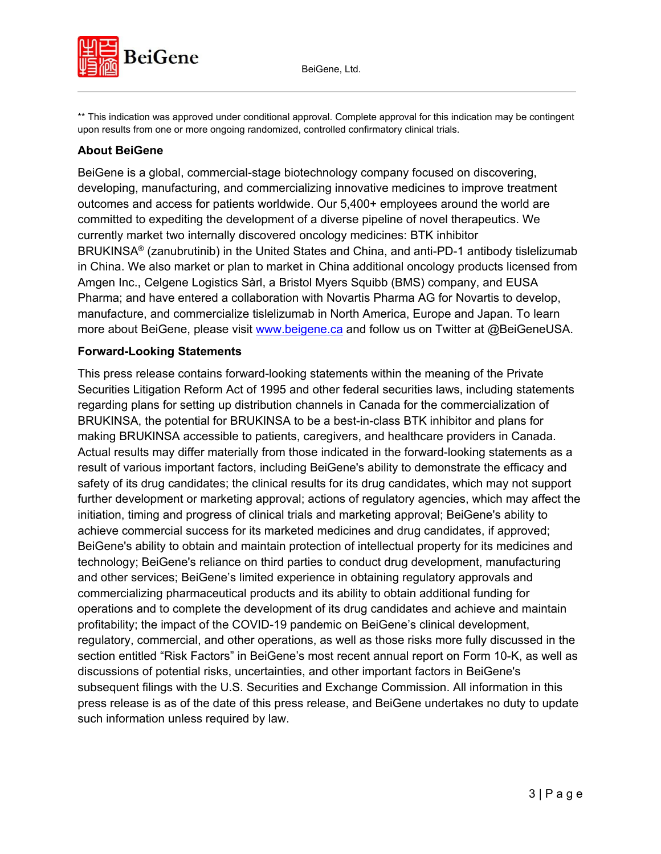

\*\* This indication was approved under conditional approval. Complete approval for this indication may be contingent upon results from one or more ongoing randomized, controlled confirmatory clinical trials.

### **About BeiGene**

BeiGene is a global, commercial-stage biotechnology company focused on discovering, developing, manufacturing, and commercializing innovative medicines to improve treatment outcomes and access for patients worldwide. Our 5,400+ employees around the world are committed to expediting the development of a diverse pipeline of novel therapeutics. We currently market two internally discovered oncology medicines: BTK inhibitor BRUKINSA® (zanubrutinib) in the United States and China, and anti-PD-1 antibody tislelizumab in China. We also market or plan to market in China additional oncology products licensed from Amgen Inc., Celgene Logistics Sàrl, a Bristol Myers Squibb (BMS) company, and EUSA Pharma; and have entered a collaboration with Novartis Pharma AG for Novartis to develop, manufacture, and commercialize tislelizumab in North America, Europe and Japan. To learn more about BeiGene, please visit [www.beigene.ca](http://www.beigene.ca/) and follow us on Twitter at @BeiGeneUSA.

#### **Forward-Looking Statements**

This press release contains forward-looking statements within the meaning of the Private Securities Litigation Reform Act of 1995 and other federal securities laws, including statements regarding plans for setting up distribution channels in Canada for the commercialization of BRUKINSA, the potential for BRUKINSA to be a best-in-class BTK inhibitor and plans for making BRUKINSA accessible to patients, caregivers, and healthcare providers in Canada. Actual results may differ materially from those indicated in the forward-looking statements as a result of various important factors, including BeiGene's ability to demonstrate the efficacy and safety of its drug candidates; the clinical results for its drug candidates, which may not support further development or marketing approval; actions of regulatory agencies, which may affect the initiation, timing and progress of clinical trials and marketing approval; BeiGene's ability to achieve commercial success for its marketed medicines and drug candidates, if approved; BeiGene's ability to obtain and maintain protection of intellectual property for its medicines and technology; BeiGene's reliance on third parties to conduct drug development, manufacturing and other services; BeiGene's limited experience in obtaining regulatory approvals and commercializing pharmaceutical products and its ability to obtain additional funding for operations and to complete the development of its drug candidates and achieve and maintain profitability; the impact of the COVID-19 pandemic on BeiGene's clinical development, regulatory, commercial, and other operations, as well as those risks more fully discussed in the section entitled "Risk Factors" in BeiGene's most recent annual report on Form 10-K, as well as discussions of potential risks, uncertainties, and other important factors in BeiGene's subsequent filings with the U.S. Securities and Exchange Commission. All information in this press release is as of the date of this press release, and BeiGene undertakes no duty to update such information unless required by law.